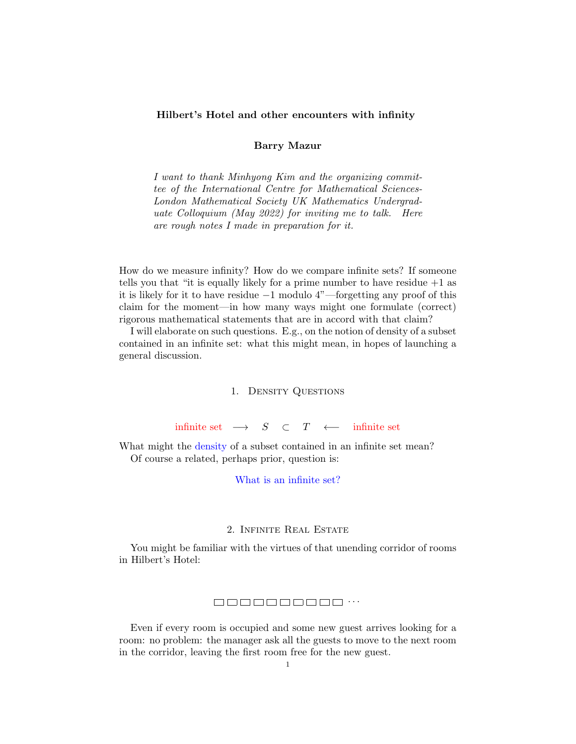### Hilbert's Hotel and other encounters with infinity

## Barry Mazur

I want to thank Minhyong Kim and the organizing committee of the International Centre for Mathematical Sciences-London Mathematical Society UK Mathematics Undergraduate Colloquium (May 2022) for inviting me to talk. Here are rough notes I made in preparation for it.

How do we measure infinity? How do we compare infinite sets? If someone tells you that "it is equally likely for a prime number to have residue  $+1$  as it is likely for it to have residue −1 modulo 4"—forgetting any proof of this claim for the moment—in how many ways might one formulate (correct) rigorous mathematical statements that are in accord with that claim?

I will elaborate on such questions. E.g., on the notion of density of a subset contained in an infinite set: what this might mean, in hopes of launching a general discussion.

### 1. Density Questions

infinite set  $\longrightarrow$  S ⊂ T  $\leftarrow$  infinite set

What might the density of a subset contained in an infinite set mean? Of course a related, perhaps prior, question is:

# What is an infinite set?

### 2. Infinite Real Estate

You might be familiar with the virtues of that unending corridor of rooms in Hilbert's Hotel:

### . . .

Even if every room is occupied and some new guest arrives looking for a room: no problem: the manager ask all the guests to move to the next room in the corridor, leaving the first room free for the new guest.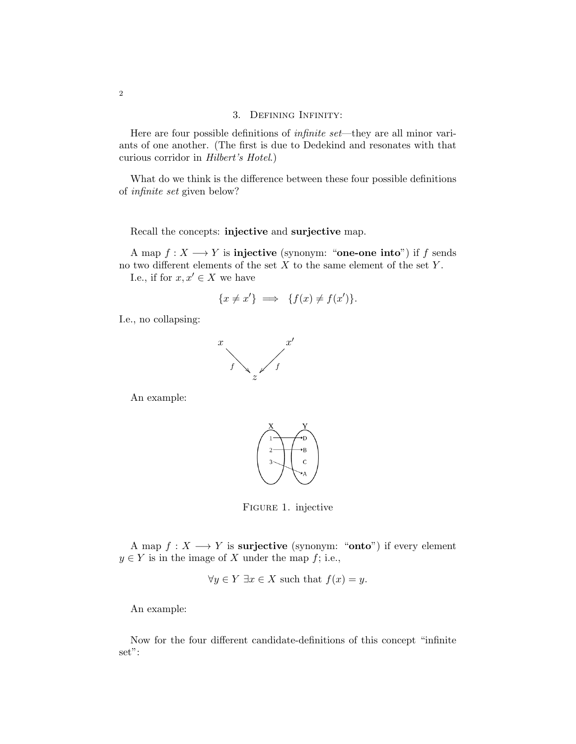## 3. Defining Infinity:

Here are four possible definitions of *infinite set*—they are all minor variants of one another. (The first is due to Dedekind and resonates with that curious corridor in Hilbert's Hotel.)

What do we think is the difference between these four possible definitions of infinite set given below?

Recall the concepts: injective and surjective map.

A map  $f: X \longrightarrow Y$  is **injective** (synonym: "one-one into") if f sends no two different elements of the set  $X$  to the same element of the set  $Y$ .

I.e., if for  $x, x' \in X$  we have

$$
\{x \neq x'\} \implies \{f(x) \neq f(x')\}.
$$

I.e., no collapsing:



An example:



Figure 1. injective

A map  $f: X \longrightarrow Y$  is **surjective** (synonym: "**onto**") if every element  $y \in Y$  is in the image of X under the map f; i.e.,

$$
\forall y \in Y \; \exists x \in X \text{ such that } f(x) = y.
$$

An example:

Now for the four different candidate-definitions of this concept "infinite set":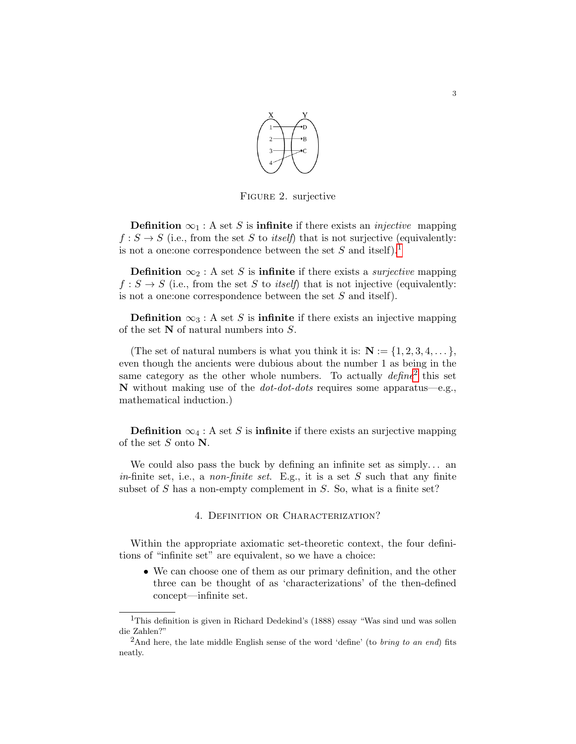

Figure 2. surjective

**Definition**  $\infty_1$ : A set S is **infinite** if there exists an *injective* mapping  $f : S \to S$  (i.e., from the set S to *itself*) that is not surjective (equivalently: is not a one: one correspondence between the set  $S$  and itself).<sup>[1](#page-2-0)</sup>

**Definition**  $\infty_2$ : A set S is **infinite** if there exists a *surjective* mapping  $f : S \to S$  (i.e., from the set S to *itself*) that is not injective (equivalently: is not a one:one correspondence between the set S and itself).

**Definition**  $\infty_3$ : A set S is **infinite** if there exists an injective mapping of the set N of natural numbers into S.

(The set of natural numbers is what you think it is:  $N := \{1, 2, 3, 4, \dots\}$ , even though the ancients were dubious about the number 1 as being in the same category as the other whole numbers. To actually  $\text{define}^2$  $\text{define}^2$  this set N without making use of the  $dot-dots$  requires some apparatus—e.g., mathematical induction.)

**Definition**  $\infty_4$ : A set S is **infinite** if there exists an surjective mapping of the set  $S$  onto  $N$ .

We could also pass the buck by defining an infinite set as  $simply...$  an in-finite set, i.e., a non-finite set. E.g., it is a set  $S$  such that any finite subset of  $S$  has a non-empty complement in  $S$ . So, what is a finite set?

### 4. DEFINITION OR CHARACTERIZATION?

Within the appropriate axiomatic set-theoretic context, the four definitions of "infinite set" are equivalent, so we have a choice:

• We can choose one of them as our primary definition, and the other three can be thought of as 'characterizations' of the then-defined concept—infinite set.

<span id="page-2-0"></span><sup>&</sup>lt;sup>1</sup>This definition is given in Richard Dedekind's (1888) essay "Was sind und was sollen die Zahlen?"

<span id="page-2-1"></span> $^{2}$ And here, the late middle English sense of the word 'define' (to *bring to an end*) fits neatly.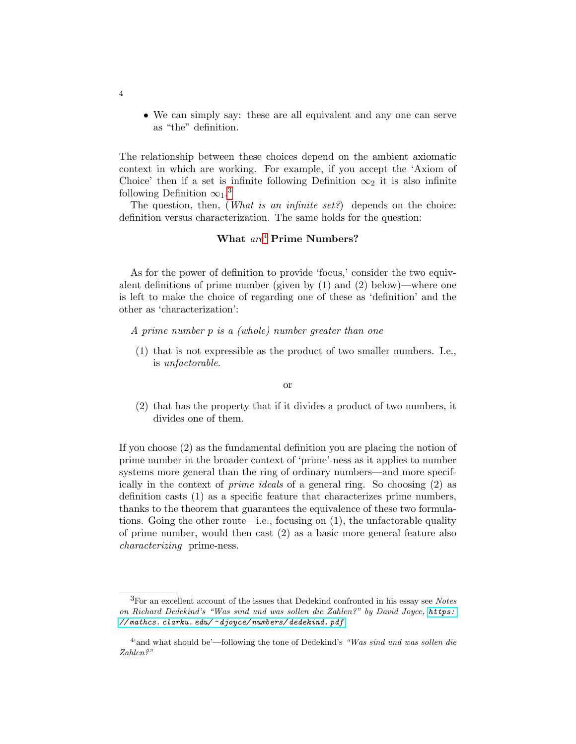• We can simply say: these are all equivalent and any one can serve as "the" definition.

The relationship between these choices depend on the ambient axiomatic context in which are working. For example, if you accept the 'Axiom of Choice' then if a set is infinite following Definition  $\infty_2$  it is also infinite following Definition  $\infty_1$ .<sup>[3](#page-3-0)</sup>

The question, then, (*What is an infinite set?*) depends on the choice: definition versus characterization. The same holds for the question:

# What  $are^4$  $are^4$  Prime Numbers?

As for the power of definition to provide 'focus,' consider the two equivalent definitions of prime number (given by  $(1)$  and  $(2)$  below)—where one is left to make the choice of regarding one of these as 'definition' and the other as 'characterization':

- A prime number p is a (whole) number greater than one
- (1) that is not expressible as the product of two smaller numbers. I.e., is unfactorable.

#### or

(2) that has the property that if it divides a product of two numbers, it divides one of them.

If you choose (2) as the fundamental definition you are placing the notion of prime number in the broader context of 'prime'-ness as it applies to number systems more general than the ring of ordinary numbers—and more specifically in the context of prime ideals of a general ring. So choosing (2) as definition casts (1) as a specific feature that characterizes prime numbers, thanks to the theorem that guarantees the equivalence of these two formulations. Going the other route—i.e., focusing on (1), the unfactorable quality of prime number, would then cast (2) as a basic more general feature also characterizing prime-ness.

4

<span id="page-3-0"></span><sup>&</sup>lt;sup>3</sup>For an excellent account of the issues that Dedekind confronted in his essay see Notes on Richard Dedekind's "Was sind und was sollen die Zahlen?" by David Joyce, [https:](https://mathcs.clarku.edu/~djoyce/numbers/dedekind.pdf ) // mathcs. clarku. edu/ ~ [djoyce/ numbers/ dedekind. pdf](https://mathcs.clarku.edu/~djoyce/numbers/dedekind.pdf )

<span id="page-3-1"></span><sup>&</sup>lt;sup>4</sup> and what should be'—following the tone of Dedekind's "Was sind und was sollen die Zahlen?"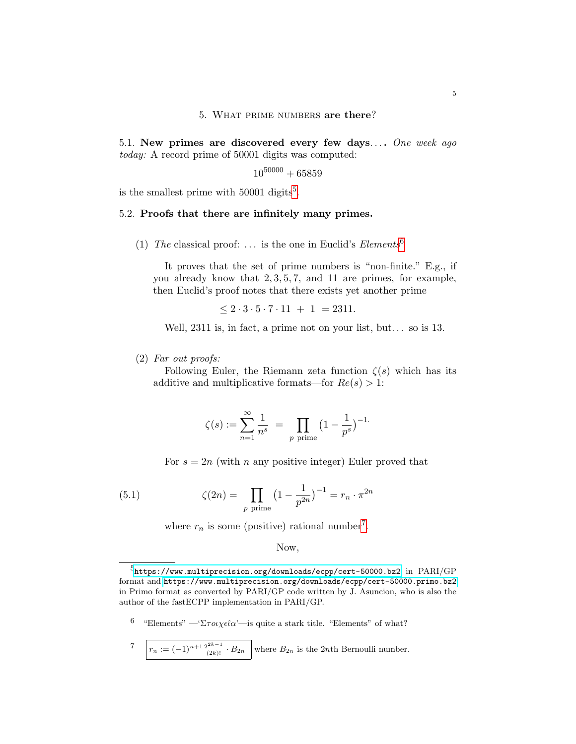### 5. What prime numbers are there?

5.1. New primes are discovered every few days.... One week ago today: A record prime of 50001 digits was computed:

 $10^{50000} + 65859$ 

is the smallest prime with  $50001$  $50001$  digits<sup>5</sup>.

## 5.2. Proofs that there are infinitely many primes.

(1) The classical proof: ... is the one in Euclid's  $Elements^6$  $Elements^6$ 

It proves that the set of prime numbers is "non-finite." E.g., if you already know that 2, 3, 5, 7, and 11 are primes, for example, then Euclid's proof notes that there exists yet another prime

$$
\leq 2 \cdot 3 \cdot 5 \cdot 7 \cdot 11 + 1 = 2311.
$$

Well, 2311 is, in fact, a prime not on your list, but... so is 13.

### (2) Far out proofs:

Following Euler, the Riemann zeta function  $\zeta(s)$  which has its additive and multiplicative formats—for  $Re(s) > 1$ :

$$
\zeta(s) := \sum_{n=1}^{\infty} \frac{1}{n^s} = \prod_{p \text{ prime}} \left(1 - \frac{1}{p^s}\right)^{-1}.
$$

<span id="page-4-3"></span>For  $s = 2n$  (with n any positive integer) Euler proved that

(5.1) 
$$
\zeta(2n) = \prod_{p \text{ prime}} \left(1 - \frac{1}{p^{2n}}\right)^{-1} = r_n \cdot \pi^{2n}
$$

where  $r_n$  is some (positive) rational number<sup>[7](#page-4-2)</sup>.

## Now,

- <span id="page-4-1"></span><sup>6</sup> "Elements" — 'Στοιχεία'—is quite a stark title. "Elements" of what?
- <span id="page-4-2"></span>7  $r_n := (-1)^{n+1} \frac{2^{2k-1}}{(2k)!} \cdot B_{2n}$  where  $B_{2n}$  is the 2nth Bernoulli number.

<span id="page-4-0"></span> $^{5}$ <https://www.multiprecision.org/downloads/ecpp/cert-50000.bz2> in  $\mathrm{PARI}/\mathrm{GP}$ format and [https://www.multiprecision.org/downloads/ecpp/cert-50000.primo.bz2]( https://www.multiprecision.org/downloads/ecpp/cert-50000.primo.bz2) in Primo format as converted by PARI/GP code written by J. Asuncion, who is also the author of the fastECPP implementation in PARI/GP.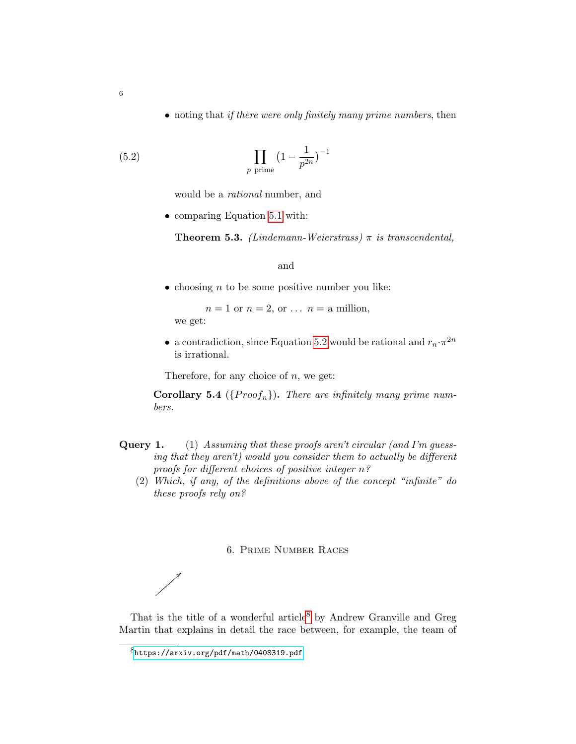• noting that if there were only finitely many prime numbers, then

(5.2) 
$$
\prod_{p \text{ prime}} \left(1 - \frac{1}{p^{2n}}\right)^{-1}
$$

<span id="page-5-0"></span>would be a rational number, and

• comparing Equation [5.1](#page-4-3) with:

**Theorem 5.3.** (Lindemann-Weierstrass)  $\pi$  is transcendental,

and

• choosing  $n$  to be some positive number you like:

 $n = 1$  or  $n = 2$ , or  $\ldots$   $n =$  a million, we get:

• a contradiction, since Equation [5.2](#page-5-0) would be rational and  $r_n \cdot \pi^{2n}$ is irrational.

Therefore, for any choice of  $n$ , we get:

Corollary 5.4 ( $\{Proof_n\}$ ). There are infinitely many prime numbers.

- Query 1. (1) Assuming that these proofs aren't circular (and I'm guessing that they aren't) would you consider them to actually be different proofs for different choices of positive integer n?
	- (2) Which, if any, of the definitions above of the concept "infinite" do these proofs rely on?

### 6. Prime Number Races

That is the title of a wonderful article<sup>[8](#page-5-1)</sup> by Andrew Granville and Greg Martin that explains in detail the race between, for example, the team of

<span id="page-5-1"></span><sup>8</sup><https://arxiv.org/pdf/math/0408319.pdf>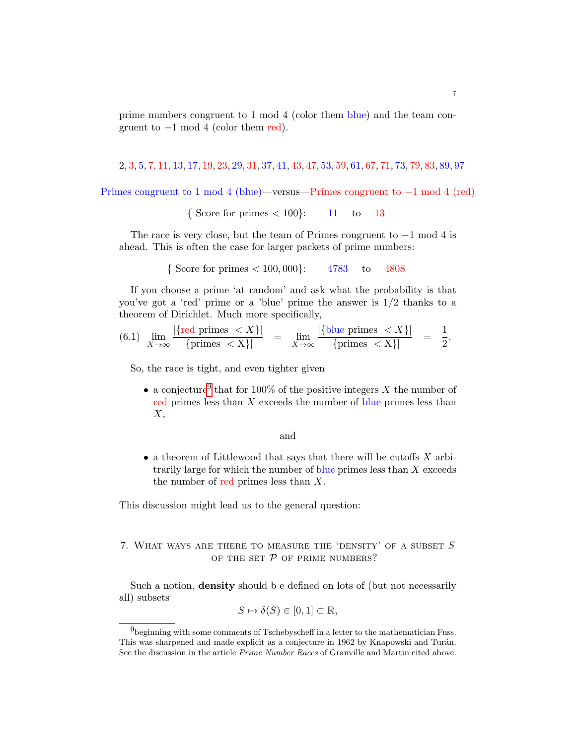prime numbers congruent to 1 mod 4 (color them blue) and the team congruent to  $-1$  mod 4 (color them red).

2, 3, 5, 7, 11, 13, 17, 19, 23, 29, 31, 37, 41, 43, 47, 53, 59, 61, 67, 71, 73, 79, 83, 89, 97

Primes congruent to 1 mod 4 (blue)—versus—Primes congruent to −1 mod 4 (red)

{ Score for primes  $< 100$ }: 11 to 13

The race is very close, but the team of Primes congruent to  $-1$  mod 4 is ahead. This is often the case for larger packets of prime numbers:

{ Score for primes  $< 100,000$ }: 4783 to 4808

If you choose a prime 'at random' and ask what the probability is that you've got a 'red' prime or a 'blue' prime the answer is  $1/2$  thanks to a theorem of Dirichlet. Much more specifically,

<span id="page-6-1"></span>
$$
(6.1) \lim_{X \to \infty} \frac{|\{\text{red primes} < X\}|}{|\{\text{primes} < X\}|} = \lim_{X \to \infty} \frac{|\{\text{blue primes} < X\}|}{|\{\text{primes} < X\}|} = \frac{1}{2}.
$$

So, the race is tight, and even tighter given

• a conjecture<sup>[9](#page-6-0)</sup> that for 100% of the positive integers X the number of red primes less than  $X$  exceeds the number of blue primes less than  $X$ ,

and

• a theorem of Littlewood that says that there will be cutoffs  $X$  arbitrarily large for which the number of blue primes less than  $X$  exceeds the number of red primes less than  $X$ .

This discussion might lead us to the general question:

# 7. WHAT WAYS ARE THERE TO MEASURE THE 'DENSITY' OF A SUBSET  $S$ OF THE SET  $P$  OF PRIME NUMBERS?

Such a notion, density should b e defined on lots of (but not necessarily all) subsets

$$
S \mapsto \delta(S) \in [0,1] \subset \mathbb{R},
$$

<span id="page-6-0"></span><sup>&</sup>lt;sup>9</sup>beginning with some comments of Tschebyscheff in a letter to the mathematician Fuss. This was sharpened and made explicit as a conjecture in 1962 by Knapowski and Turán. See the discussion in the article Prime Number Races of Granville and Martin cited above.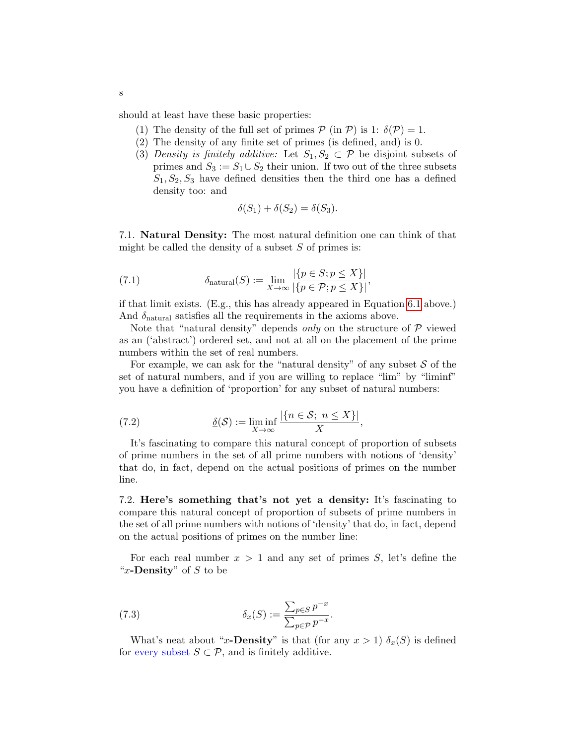should at least have these basic properties:

- (1) The density of the full set of primes  $P$  (in P) is 1:  $\delta(P) = 1$ .
- (2) The density of any finite set of primes (is defined, and) is 0.
- (3) Density is finitely additive: Let  $S_1, S_2 \subset \mathcal{P}$  be disjoint subsets of primes and  $S_3 := S_1 \cup S_2$  their union. If two out of the three subsets  $S_1, S_2, S_3$  have defined densities then the third one has a defined density too: and

$$
\delta(S_1) + \delta(S_2) = \delta(S_3).
$$

7.1. Natural Density: The most natural definition one can think of that might be called the density of a subset  $S$  of primes is:

(7.1) 
$$
\delta_{\text{natural}}(S) := \lim_{X \to \infty} \frac{|\{p \in S; p \le X\}|}{|\{p \in \mathcal{P}; p \le X\}|},
$$

if that limit exists. (E.g., this has already appeared in Equation [6.1](#page-6-1) above.) And  $\delta_{\text{natural}}$  satisfies all the requirements in the axioms above.

Note that "natural density" depends only on the structure of  $P$  viewed as an ('abstract') ordered set, and not at all on the placement of the prime numbers within the set of real numbers.

For example, we can ask for the "natural density" of any subset  $S$  of the set of natural numbers, and if you are willing to replace "lim" by "liminf" you have a definition of 'proportion' for any subset of natural numbers:

(7.2) 
$$
\underline{\delta}(\mathcal{S}) := \liminf_{X \to \infty} \frac{|\{n \in \mathcal{S}; n \le X\}|}{X},
$$

It's fascinating to compare this natural concept of proportion of subsets of prime numbers in the set of all prime numbers with notions of 'density' that do, in fact, depend on the actual positions of primes on the number line.

7.2. Here's something that's not yet a density: It's fascinating to compare this natural concept of proportion of subsets of prime numbers in the set of all prime numbers with notions of 'density' that do, in fact, depend on the actual positions of primes on the number line:

For each real number  $x > 1$  and any set of primes S, let's define the "x-Density" of  $S$  to be

<span id="page-7-0"></span>(7.3) 
$$
\delta_x(S) := \frac{\sum_{p \in S} p^{-x}}{\sum_{p \in \mathcal{P}} p^{-x}}.
$$

What's neat about "x-Density" is that (for any  $x > 1$ )  $\delta_x(S)$  is defined for every subset  $S \subset \mathcal{P}$ , and is finitely additive.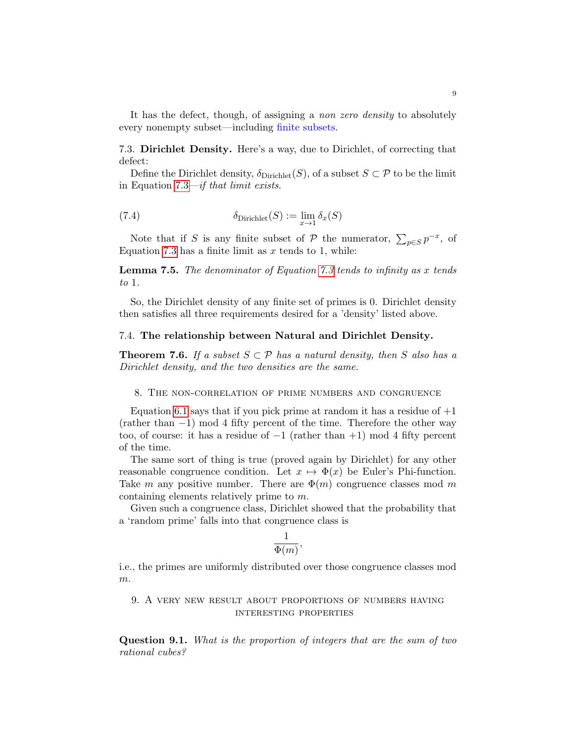It has the defect, though, of assigning a non zero density to absolutely every nonempty subset—including finite subsets.

7.3. Dirichlet Density. Here's a way, due to Dirichlet, of correcting that defect:

Define the Dirichlet density,  $\delta_{Dirichlet}(S)$ , of a subset  $S \subset \mathcal{P}$  to be the limit in Equation [7.3—](#page-7-0)if that limit exists.

(7.4) 
$$
\delta_{\text{Dirichlet}}(S) := \lim_{x \to 1} \delta_x(S)
$$

Note that if S is any finite subset of P the numerator,  $\sum_{p \in S} p^{-x}$ , of Equation [7.3](#page-7-0) has a finite limit as  $x$  tends to 1, while:

**Lemma 7.5.** The denominator of Equation [7.3](#page-7-0) tends to infinity as x tends to 1.

So, the Dirichlet density of any finite set of primes is 0. Dirichlet density then satisfies all three requirements desired for a 'density' listed above.

## 7.4. The relationship between Natural and Dirichlet Density.

**Theorem 7.6.** If a subset  $S \subset \mathcal{P}$  has a natural density, then S also has a Dirichlet density, and the two densities are the same.

8. The non-correlation of prime numbers and congruence

Equation [6.1](#page-6-1) says that if you pick prime at random it has a residue of  $+1$  $(\text{rather than } -1) \mod 4$  fifty percent of the time. Therefore the other way too, of course: it has a residue of  $-1$  (rather than  $+1$ ) mod 4 fifty percent of the time.

The same sort of thing is true (proved again by Dirichlet) for any other reasonable congruence condition. Let  $x \mapsto \Phi(x)$  be Euler's Phi-function. Take m any positive number. There are  $\Phi(m)$  congruence classes mod m containing elements relatively prime to m.

Given such a congruence class, Dirichlet showed that the probability that a 'random prime' falls into that congruence class is

$$
\frac{1}{\Phi(m)},
$$

i.e., the primes are uniformly distributed over those congruence classes mod m.

9. A very new result about proportions of numbers having interesting properties

Question 9.1. What is the proportion of integers that are the sum of two rational cubes?